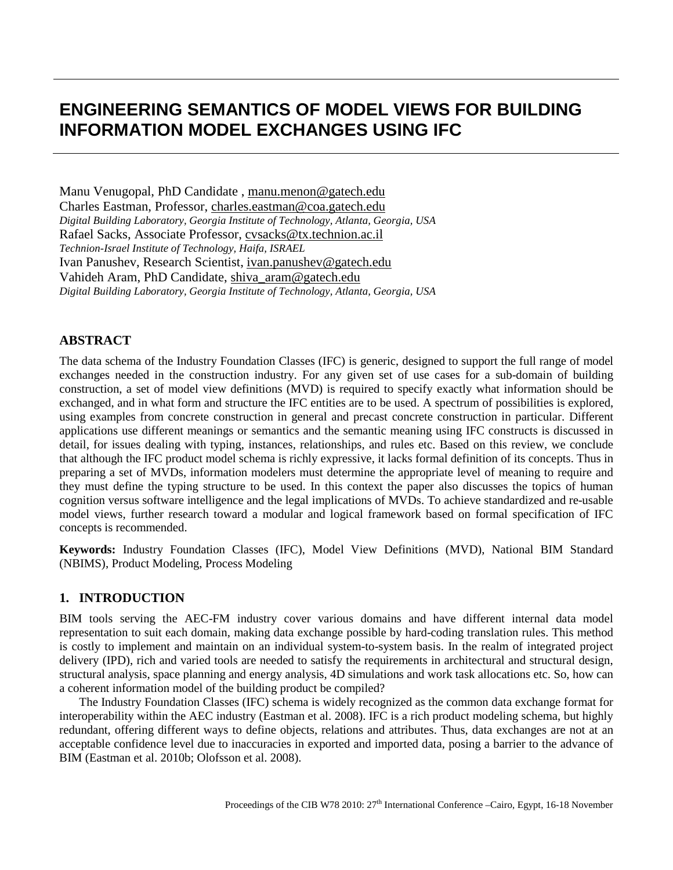# **ENGINEERING SEMANTICS OF MODEL VIEWS FOR BUILDING INFORMATION MODEL EXCHANGES USING IFC**

Manu Venugopal, PhD Candidate , manu.menon@gatech.edu Charles Eastman, Professor, [charles.eastman@coa.gatech.edu](mailto:charles.eastman@coa.gatech.edu) *Digital Building Laboratory, Georgia Institute of Technology, Atlanta, Georgia, USA* Rafael Sacks, Associate Professor, [cvsacks@tx.technion.ac.il](mailto:cvsacks@tx.technion.ac.ils) *Technion-Israel Institute of Technology, Haifa, ISRAEL* Ivan Panushev, Research Scientist, [ivan.panushev@gatech.edu](mailto:ivan.panushev@gatech.edu) Vahideh Aram, PhD Candidate, [shiva\\_aram@gatech.edu](mailto:shiva_aram@gatech.edu) *Digital Building Laboratory, Georgia Institute of Technology, Atlanta, Georgia, USA*

#### **ABSTRACT**

The data schema of the Industry Foundation Classes (IFC) is generic, designed to support the full range of model exchanges needed in the construction industry. For any given set of use cases for a sub-domain of building construction, a set of model view definitions (MVD) is required to specify exactly what information should be exchanged, and in what form and structure the IFC entities are to be used. A spectrum of possibilities is explored, using examples from concrete construction in general and precast concrete construction in particular. Different applications use different meanings or semantics and the semantic meaning using IFC constructs is discussed in detail, for issues dealing with typing, instances, relationships, and rules etc. Based on this review, we conclude that although the IFC product model schema is richly expressive, it lacks formal definition of its concepts. Thus in preparing a set of MVDs, information modelers must determine the appropriate level of meaning to require and they must define the typing structure to be used. In this context the paper also discusses the topics of human cognition versus software intelligence and the legal implications of MVDs. To achieve standardized and re-usable model views, further research toward a modular and logical framework based on formal specification of IFC concepts is recommended.

**Keywords:** Industry Foundation Classes (IFC), Model View Definitions (MVD), National BIM Standard (NBIMS), Product Modeling, Process Modeling

## **1. INTRODUCTION**

BIM tools serving the AEC-FM industry cover various domains and have different internal data model representation to suit each domain, making data exchange possible by hard-coding translation rules. This method is costly to implement and maintain on an individual system-to-system basis. In the realm of integrated project delivery (IPD), rich and varied tools are needed to satisfy the requirements in architectural and structural design, structural analysis, space planning and energy analysis, 4D simulations and work task allocations etc. So, how can a coherent information model of the building product be compiled?

The Industry Foundation Classes (IFC) schema is widely recognized as the common data exchange format for interoperability within the AEC industry (Eastman et al. 2008). IFC is a rich product modeling schema, but highly redundant, offering different ways to define objects, relations and attributes. Thus, data exchanges are not at an acceptable confidence level due to inaccuracies in exported and imported data, posing a barrier to the advance of BIM (Eastman et al. 2010b; Olofsson et al. 2008).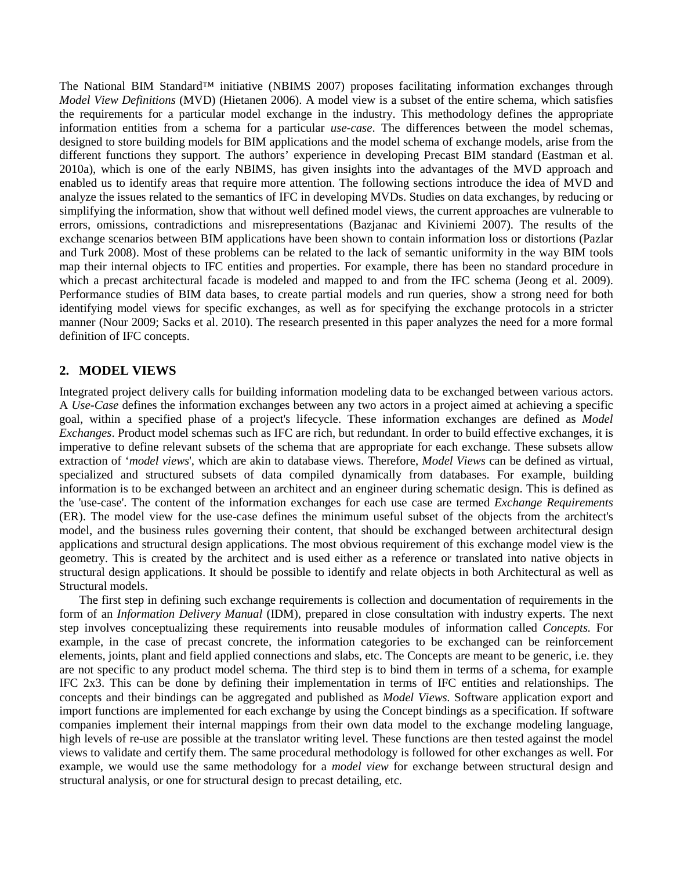The National BIM Standard™ initiative (NBIMS 2007) proposes facilitating information exchanges through *Model View Definitions* (MVD) (Hietanen 2006). A model view is a subset of the entire schema, which satisfies the requirements for a particular model exchange in the industry. This methodology defines the appropriate information entities from a schema for a particular *use-case*. The differences between the model schemas, designed to store building models for BIM applications and the model schema of exchange models, arise from the different functions they support. The authors' experience in developing Precast BIM standard (Eastman et al. 2010a), which is one of the early NBIMS, has given insights into the advantages of the MVD approach and enabled us to identify areas that require more attention. The following sections introduce the idea of MVD and analyze the issues related to the semantics of IFC in developing MVDs. Studies on data exchanges, by reducing or simplifying the information, show that without well defined model views, the current approaches are vulnerable to errors, omissions, contradictions and misrepresentations (Bazjanac and Kiviniemi 2007). The results of the exchange scenarios between BIM applications have been shown to contain information loss or distortions (Pazlar and Turk 2008). Most of these problems can be related to the lack of semantic uniformity in the way BIM tools map their internal objects to IFC entities and properties. For example, there has been no standard procedure in which a precast architectural facade is modeled and mapped to and from the IFC schema (Jeong et al. 2009). Performance studies of BIM data bases, to create partial models and run queries, show a strong need for both identifying model views for specific exchanges, as well as for specifying the exchange protocols in a stricter manner (Nour 2009; Sacks et al. 2010). The research presented in this paper analyzes the need for a more formal definition of IFC concepts.

## **2. MODEL VIEWS**

Integrated project delivery calls for building information modeling data to be exchanged between various actors. A *Use-Case* defines the information exchanges between any two actors in a project aimed at achieving a specific goal, within a specified phase of a project's lifecycle. These information exchanges are defined as *Model Exchanges*. Product model schemas such as IFC are rich, but redundant. In order to build effective exchanges, it is imperative to define relevant subsets of the schema that are appropriate for each exchange. These subsets allow extraction of '*model views*', which are akin to database views. Therefore, *Model Views* can be defined as virtual, specialized and structured subsets of data compiled dynamically from databases. For example, building information is to be exchanged between an architect and an engineer during schematic design. This is defined as the 'use-case'. The content of the information exchanges for each use case are termed *Exchange Requirements* (ER). The model view for the use-case defines the minimum useful subset of the objects from the architect's model, and the business rules governing their content, that should be exchanged between architectural design applications and structural design applications. The most obvious requirement of this exchange model view is the geometry. This is created by the architect and is used either as a reference or translated into native objects in structural design applications. It should be possible to identify and relate objects in both Architectural as well as Structural models.

The first step in defining such exchange requirements is collection and documentation of requirements in the form of an *Information Delivery Manual* (IDM), prepared in close consultation with industry experts. The next step involves conceptualizing these requirements into reusable modules of information called *Concepts.* For example, in the case of precast concrete, the information categories to be exchanged can be reinforcement elements, joints, plant and field applied connections and slabs, etc. The Concepts are meant to be generic, i.e. they are not specific to any product model schema. The third step is to bind them in terms of a schema, for example IFC 2x3. This can be done by defining their implementation in terms of IFC entities and relationships. The concepts and their bindings can be aggregated and published as *Model Views*. Software application export and import functions are implemented for each exchange by using the Concept bindings as a specification. If software companies implement their internal mappings from their own data model to the exchange modeling language, high levels of re-use are possible at the translator writing level. These functions are then tested against the model views to validate and certify them. The same procedural methodology is followed for other exchanges as well. For example, we would use the same methodology for a *model view* for exchange between structural design and structural analysis, or one for structural design to precast detailing, etc.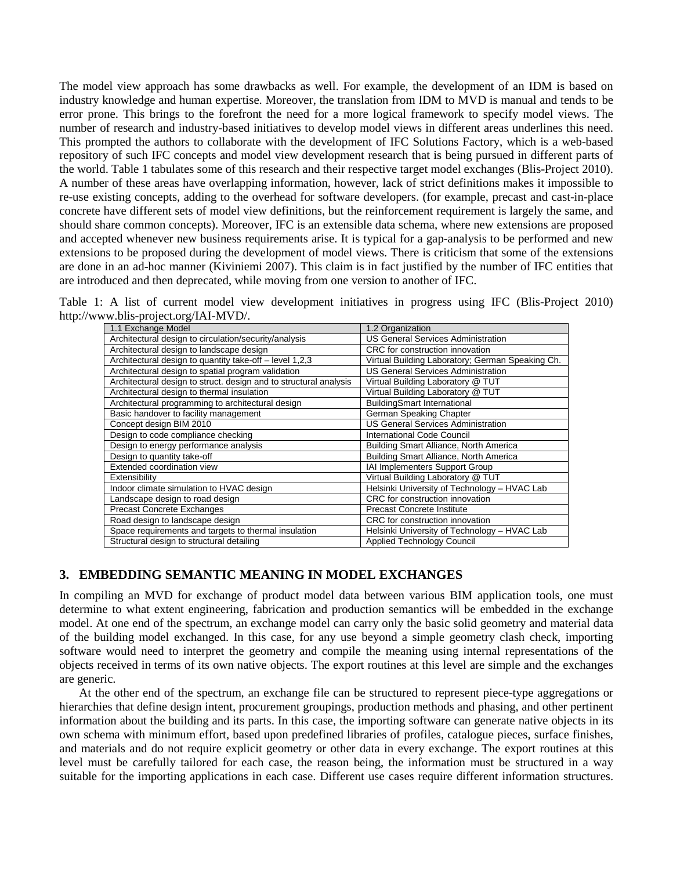The model view approach has some drawbacks as well. For example, the development of an IDM is based on industry knowledge and human expertise. Moreover, the translation from IDM to MVD is manual and tends to be error prone. This brings to the forefront the need for a more logical framework to specify model views. The number of research and industry-based initiatives to develop model views in different areas underlines this need. This prompted the authors to collaborate with the development of IFC Solutions Factory, which is a web-based repository of such IFC concepts and model view development research that is being pursued in different parts of the world. Table 1 tabulates some of this research and their respective target model exchanges (Blis-Project 2010). A number of these areas have overlapping information, however, lack of strict definitions makes it impossible to re-use existing concepts, adding to the overhead for software developers. (for example, precast and cast-in-place concrete have different sets of model view definitions, but the reinforcement requirement is largely the same, and should share common concepts). Moreover, IFC is an extensible data schema, where new extensions are proposed and accepted whenever new business requirements arise. It is typical for a gap-analysis to be performed and new extensions to be proposed during the development of model views. There is criticism that some of the extensions are done in an ad-hoc manner (Kiviniemi 2007). This claim is in fact justified by the number of IFC entities that are introduced and then deprecated, while moving from one version to another of IFC.

Table 1: A list of current model view development initiatives in progress using IFC (Blis-Project 2010) http://www.blis-project.org/IAI-MVD/.

| 1.1 Exchange Model                                                | 1.2 Organization                                 |
|-------------------------------------------------------------------|--------------------------------------------------|
| Architectural design to circulation/security/analysis             | <b>US General Services Administration</b>        |
| Architectural design to landscape design                          | CRC for construction innovation                  |
| Architectural design to quantity take-off - level 1,2,3           | Virtual Building Laboratory; German Speaking Ch. |
| Architectural design to spatial program validation                | <b>US General Services Administration</b>        |
| Architectural design to struct. design and to structural analysis | Virtual Building Laboratory @ TUT                |
| Architectural design to thermal insulation                        | Virtual Building Laboratory @ TUT                |
| Architectural programming to architectural design                 | <b>BuildingSmart International</b>               |
| Basic handover to facility management                             | German Speaking Chapter                          |
| Concept design BIM 2010                                           | <b>US General Services Administration</b>        |
| Design to code compliance checking                                | <b>International Code Council</b>                |
| Design to energy performance analysis                             | Building Smart Alliance, North America           |
| Design to quantity take-off                                       | Building Smart Alliance, North America           |
| Extended coordination view                                        | IAI Implementers Support Group                   |
| Extensibility                                                     | Virtual Building Laboratory @ TUT                |
| Indoor climate simulation to HVAC design                          | Helsinki University of Technology - HVAC Lab     |
| Landscape design to road design                                   | CRC for construction innovation                  |
| Precast Concrete Exchanges                                        | <b>Precast Concrete Institute</b>                |
| Road design to landscape design                                   | CRC for construction innovation                  |
| Space requirements and targets to thermal insulation              | Helsinki University of Technology - HVAC Lab     |
| Structural design to structural detailing                         | <b>Applied Technology Council</b>                |

# **3. EMBEDDING SEMANTIC MEANING IN MODEL EXCHANGES**

In compiling an MVD for exchange of product model data between various BIM application tools, one must determine to what extent engineering, fabrication and production semantics will be embedded in the exchange model. At one end of the spectrum, an exchange model can carry only the basic solid geometry and material data of the building model exchanged. In this case, for any use beyond a simple geometry clash check, importing software would need to interpret the geometry and compile the meaning using internal representations of the objects received in terms of its own native objects. The export routines at this level are simple and the exchanges are generic.

At the other end of the spectrum, an exchange file can be structured to represent piece-type aggregations or hierarchies that define design intent, procurement groupings, production methods and phasing, and other pertinent information about the building and its parts. In this case, the importing software can generate native objects in its own schema with minimum effort, based upon predefined libraries of profiles, catalogue pieces, surface finishes, and materials and do not require explicit geometry or other data in every exchange. The export routines at this level must be carefully tailored for each case, the reason being, the information must be structured in a way suitable for the importing applications in each case. Different use cases require different information structures.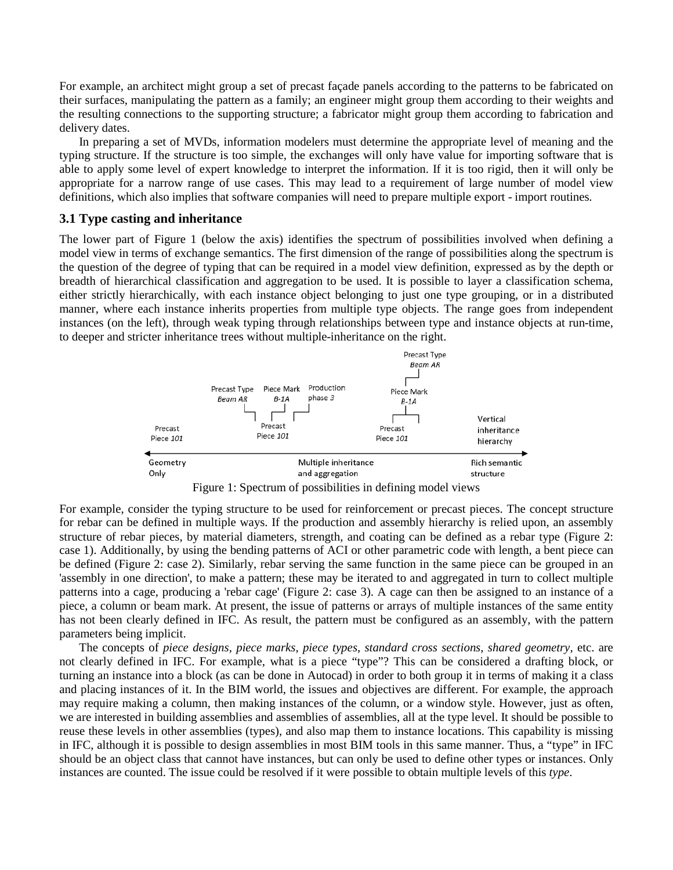For example, an architect might group a set of precast façade panels according to the patterns to be fabricated on their surfaces, manipulating the pattern as a family; an engineer might group them according to their weights and the resulting connections to the supporting structure; a fabricator might group them according to fabrication and delivery dates.

In preparing a set of MVDs, information modelers must determine the appropriate level of meaning and the typing structure. If the structure is too simple, the exchanges will only have value for importing software that is able to apply some level of expert knowledge to interpret the information. If it is too rigid, then it will only be appropriate for a narrow range of use cases. This may lead to a requirement of large number of model view definitions, which also implies that software companies will need to prepare multiple export - import routines.

#### **3.1 Type casting and inheritance**

The lower part of Figure 1 (below the axis) identifies the spectrum of possibilities involved when defining a model view in terms of exchange semantics. The first dimension of the range of possibilities along the spectrum is the question of the degree of typing that can be required in a model view definition, expressed as by the depth or breadth of hierarchical classification and aggregation to be used. It is possible to layer a classification schema, either strictly hierarchically, with each instance object belonging to just one type grouping, or in a distributed manner, where each instance inherits properties from multiple type objects. The range goes from independent instances (on the left), through weak typing through relationships between type and instance objects at run-time, to deeper and stricter inheritance trees without multiple-inheritance on the right.





For example, consider the typing structure to be used for reinforcement or precast pieces. The concept structure for rebar can be defined in multiple ways. If the production and assembly hierarchy is relied upon, an assembly structure of rebar pieces, by material diameters, strength, and coating can be defined as a rebar type (Figure 2: case 1). Additionally, by using the bending patterns of ACI or other parametric code with length, a bent piece can be defined (Figure 2: case 2). Similarly, rebar serving the same function in the same piece can be grouped in an 'assembly in one direction', to make a pattern; these may be iterated to and aggregated in turn to collect multiple patterns into a cage, producing a 'rebar cage' (Figure 2: case 3). A cage can then be assigned to an instance of a piece, a column or beam mark. At present, the issue of patterns or arrays of multiple instances of the same entity has not been clearly defined in IFC. As result, the pattern must be configured as an assembly, with the pattern parameters being implicit.

The concepts of *piece designs*, *piece marks*, *piece types*, *standard cross sections*, *shared geometry,* etc. are not clearly defined in IFC. For example, what is a piece "type"? This can be considered a drafting block, or turning an instance into a block (as can be done in Autocad) in order to both group it in terms of making it a class and placing instances of it. In the BIM world, the issues and objectives are different. For example, the approach may require making a column, then making instances of the column, or a window style. However, just as often, we are interested in building assemblies and assemblies of assemblies, all at the type level. It should be possible to reuse these levels in other assemblies (types), and also map them to instance locations. This capability is missing in IFC, although it is possible to design assemblies in most BIM tools in this same manner. Thus, a "type" in IFC should be an object class that cannot have instances, but can only be used to define other types or instances. Only instances are counted. The issue could be resolved if it were possible to obtain multiple levels of this *type*.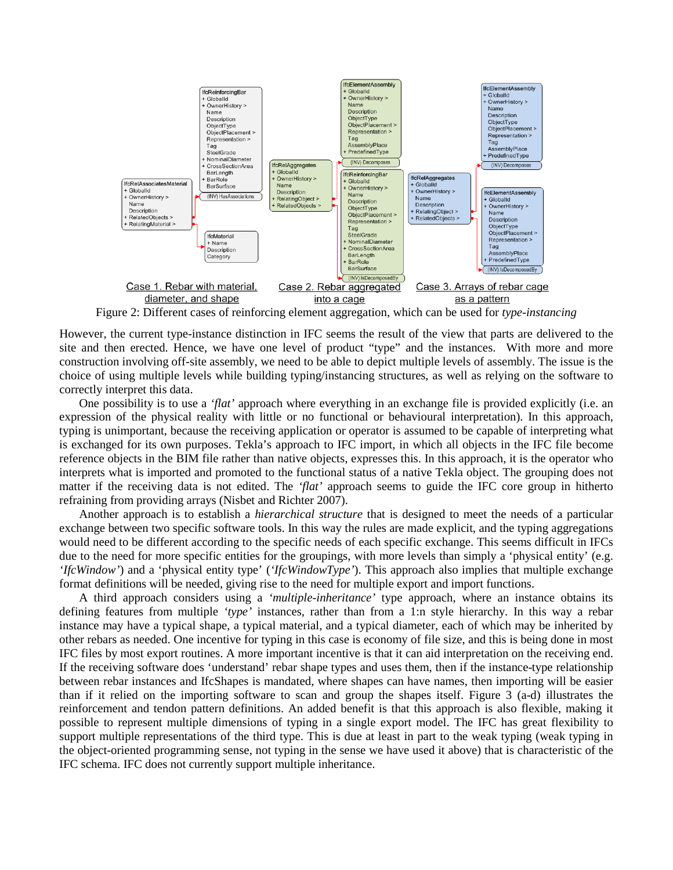

Figure 2: Different cases of reinforcing element aggregation, which can be used for *type-instancing*

However, the current type-instance distinction in IFC seems the result of the view that parts are delivered to the site and then erected. Hence, we have one level of product "type" and the instances. With more and more construction involving off-site assembly, we need to be able to depict multiple levels of assembly. The issue is the choice of using multiple levels while building typing/instancing structures, as well as relying on the software to correctly interpret this data.

One possibility is to use a *'flat'* approach where everything in an exchange file is provided explicitly (i.e. an expression of the physical reality with little or no functional or behavioural interpretation). In this approach, typing is unimportant, because the receiving application or operator is assumed to be capable of interpreting what is exchanged for its own purposes. Tekla's approach to IFC import, in which all objects in the IFC file become reference objects in the BIM file rather than native objects, expresses this. In this approach, it is the operator who interprets what is imported and promoted to the functional status of a native Tekla object. The grouping does not matter if the receiving data is not edited. The *'flat'* approach seems to guide the IFC core group in hitherto refraining from providing arrays (Nisbet and Richter 2007).

Another approach is to establish a *hierarchical structure* that is designed to meet the needs of a particular exchange between two specific software tools. In this way the rules are made explicit, and the typing aggregations would need to be different according to the specific needs of each specific exchange. This seems difficult in IFCs due to the need for more specific entities for the groupings, with more levels than simply a 'physical entity' (e.g. *'IfcWindow'*) and a 'physical entity type' (*'IfcWindowType'*). This approach also implies that multiple exchange format definitions will be needed, giving rise to the need for multiple export and import functions.

A third approach considers using a *'multiple-inheritance'* type approach, where an instance obtains its defining features from multiple *'type'* instances, rather than from a 1:n style hierarchy. In this way a rebar instance may have a typical shape, a typical material, and a typical diameter, each of which may be inherited by other rebars as needed. One incentive for typing in this case is economy of file size, and this is being done in most IFC files by most export routines. A more important incentive is that it can aid interpretation on the receiving end. If the receiving software does 'understand' rebar shape types and uses them, then if the instance-type relationship between rebar instances and IfcShapes is mandated, where shapes can have names, then importing will be easier than if it relied on the importing software to scan and group the shapes itself. Figure 3 (a-d) illustrates the reinforcement and tendon pattern definitions. An added benefit is that this approach is also flexible, making it possible to represent multiple dimensions of typing in a single export model. The IFC has great flexibility to support multiple representations of the third type. This is due at least in part to the weak typing (weak typing in the object-oriented programming sense, not typing in the sense we have used it above) that is characteristic of the IFC schema. IFC does not currently support multiple inheritance.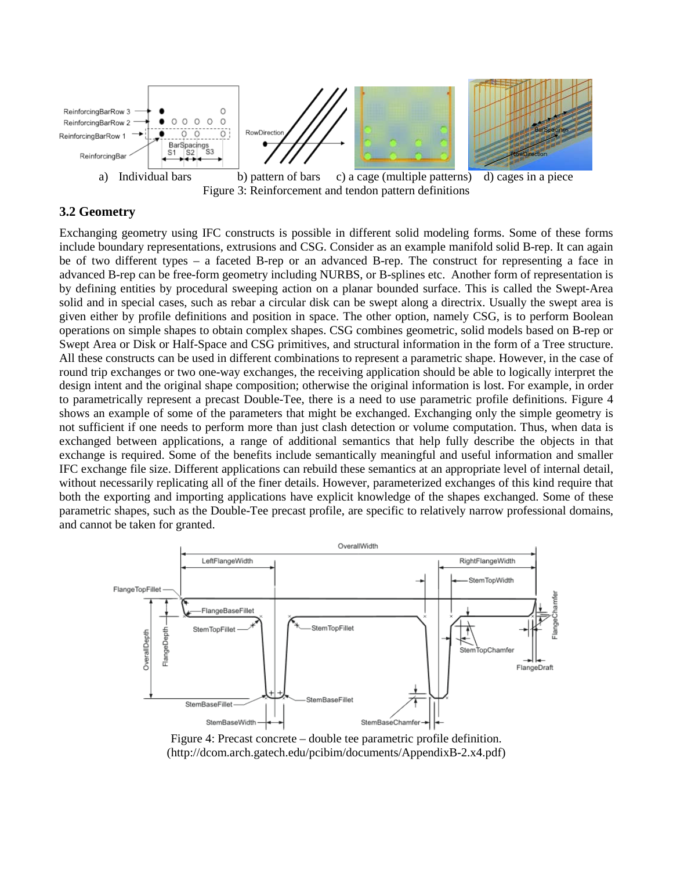

Figure 3: Reinforcement and tendon pattern definitions

## **3.2 Geometry**

Exchanging geometry using IFC constructs is possible in different solid modeling forms. Some of these forms include boundary representations, extrusions and CSG. Consider as an example manifold solid B-rep. It can again be of two different types – a faceted B-rep or an advanced B-rep. The construct for representing a face in advanced B-rep can be free-form geometry including NURBS, or B-splines etc. Another form of representation is by defining entities by procedural sweeping action on a planar bounded surface. This is called the Swept-Area solid and in special cases, such as rebar a circular disk can be swept along a directrix. Usually the swept area is given either by profile definitions and position in space. The other option, namely CSG, is to perform Boolean operations on simple shapes to obtain complex shapes. CSG combines geometric, solid models based on B-rep or Swept Area or Disk or Half-Space and CSG primitives, and structural information in the form of a Tree structure. All these constructs can be used in different combinations to represent a parametric shape. However, in the case of round trip exchanges or two one-way exchanges, the receiving application should be able to logically interpret the design intent and the original shape composition; otherwise the original information is lost. For example, in order to parametrically represent a precast Double-Tee, there is a need to use parametric profile definitions. Figure 4 shows an example of some of the parameters that might be exchanged. Exchanging only the simple geometry is not sufficient if one needs to perform more than just clash detection or volume computation. Thus, when data is exchanged between applications, a range of additional semantics that help fully describe the objects in that exchange is required. Some of the benefits include semantically meaningful and useful information and smaller IFC exchange file size. Different applications can rebuild these semantics at an appropriate level of internal detail, without necessarily replicating all of the finer details. However, parameterized exchanges of this kind require that both the exporting and importing applications have explicit knowledge of the shapes exchanged. Some of these parametric shapes, such as the Double-Tee precast profile, are specific to relatively narrow professional domains, and cannot be taken for granted.



Figure 4: Precast concrete – double tee parametric profile definition. (http://dcom.arch.gatech.edu/pcibim/documents/AppendixB-2.x4.pdf)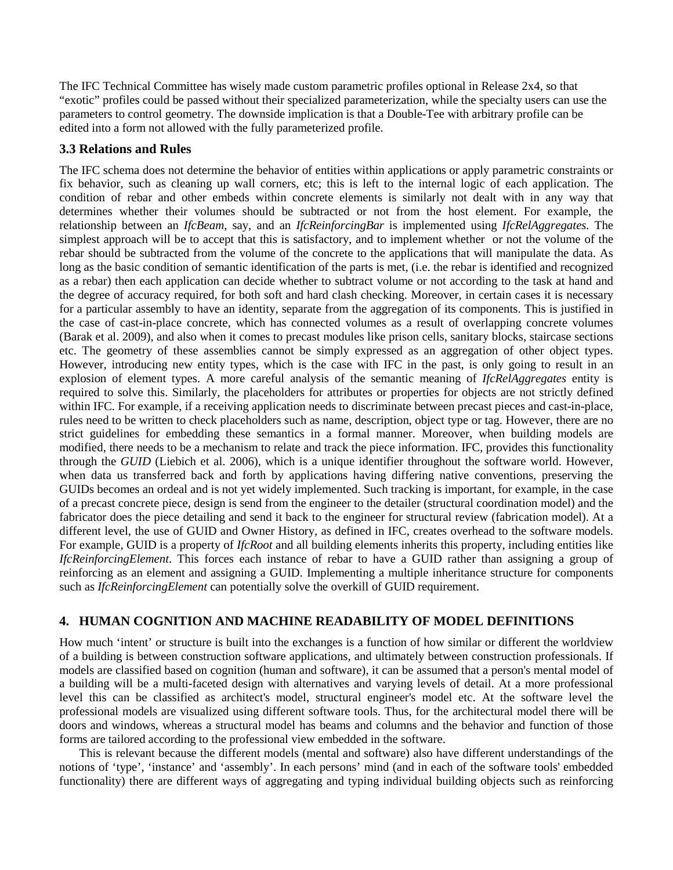The IFC Technical Committee has wisely made custom parametric profiles optional in Release 2x4, so that "exotic" profiles could be passed without their specialized parameterization, while the specialty users can use the parameters to control geometry. The downside implication is that a Double-Tee with arbitrary profile can be edited into a form not allowed with the fully parameterized profile.

# **3.3 Relations and Rules**

The IFC schema does not determine the behavior of entities within applications or apply parametric constraints or fix behavior, such as cleaning up wall corners, etc; this is left to the internal logic of each application. The condition of rebar and other embeds within concrete elements is similarly not dealt with in any way that determines whether their volumes should be subtracted or not from the host element. For example, the relationship between an *IfcBeam*, say, and an *IfcReinforcingBar* is implemented using *IfcRelAggregates.* The simplest approach will be to accept that this is satisfactory, and to implement whether or not the volume of the rebar should be subtracted from the volume of the concrete to the applications that will manipulate the data. As long as the basic condition of semantic identification of the parts is met, (i.e. the rebar is identified and recognized as a rebar) then each application can decide whether to subtract volume or not according to the task at hand and the degree of accuracy required, for both soft and hard clash checking. Moreover, in certain cases it is necessary for a particular assembly to have an identity, separate from the aggregation of its components. This is justified in the case of cast-in-place concrete, which has connected volumes as a result of overlapping concrete volumes (Barak et al. 2009), and also when it comes to precast modules like prison cells, sanitary blocks, staircase sections etc. The geometry of these assemblies cannot be simply expressed as an aggregation of other object types. However, introducing new entity types, which is the case with IFC in the past, is only going to result in an explosion of element types. A more careful analysis of the semantic meaning of *IfcRelAggregates* entity is required to solve this. Similarly, the placeholders for attributes or properties for objects are not strictly defined within IFC. For example, if a receiving application needs to discriminate between precast pieces and cast-in-place, rules need to be written to check placeholders such as name, description, object type or tag. However, there are no strict guidelines for embedding these semantics in a formal manner. Moreover, when building models are modified, there needs to be a mechanism to relate and track the piece information. IFC, provides this functionality through the *GUID* (Liebich et al. 2006), which is a unique identifier throughout the software world. However, when data us transferred back and forth by applications having differing native conventions, preserving the GUIDs becomes an ordeal and is not yet widely implemented. Such tracking is important, for example, in the case of a precast concrete piece, design is send from the engineer to the detailer (structural coordination model) and the fabricator does the piece detailing and send it back to the engineer for structural review (fabrication model). At a different level, the use of GUID and Owner History, as defined in IFC, creates overhead to the software models. For example, GUID is a property of *IfcRoot* and all building elements inherits this property, including entities like *IfcReinforcingElement*. This forces each instance of rebar to have a GUID rather than assigning a group of reinforcing as an element and assigning a GUID. Implementing a multiple inheritance structure for components such as *IfcReinforcingElement* can potentially solve the overkill of GUID requirement.

# **4. HUMAN COGNITION AND MACHINE READABILITY OF MODEL DEFINITIONS**

How much 'intent' or structure is built into the exchanges is a function of how similar or different the worldview of a building is between construction software applications, and ultimately between construction professionals. If models are classified based on cognition (human and software), it can be assumed that a person's mental model of a building will be a multi-faceted design with alternatives and varying levels of detail. At a more professional level this can be classified as architect's model, structural engineer's model etc. At the software level the professional models are visualized using different software tools. Thus, for the architectural model there will be doors and windows, whereas a structural model has beams and columns and the behavior and function of those forms are tailored according to the professional view embedded in the software.

This is relevant because the different models (mental and software) also have different understandings of the notions of 'type', 'instance' and 'assembly'. In each persons' mind (and in each of the software tools' embedded functionality) there are different ways of aggregating and typing individual building objects such as reinforcing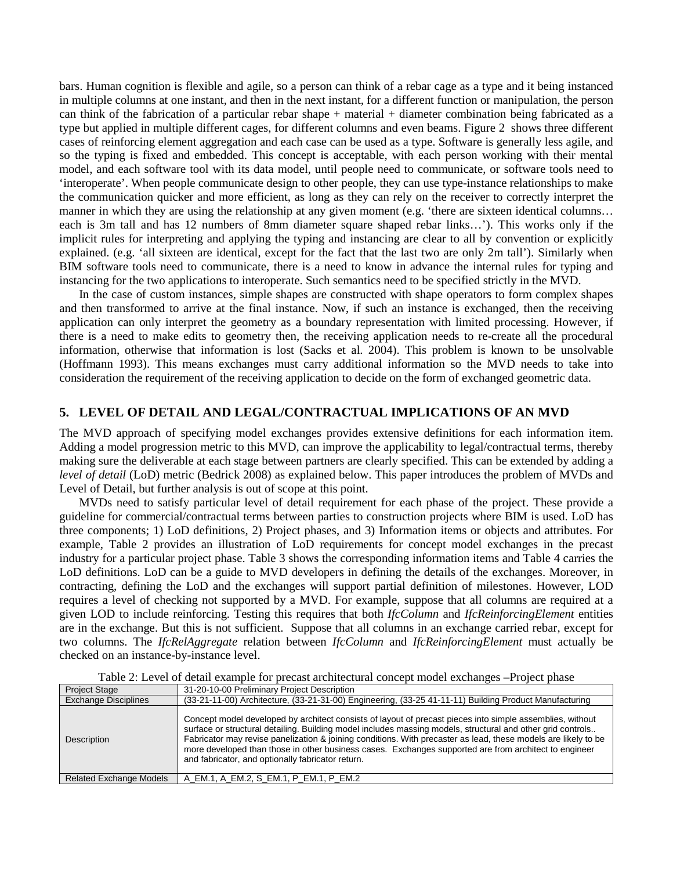bars. Human cognition is flexible and agile, so a person can think of a rebar cage as a type and it being instanced in multiple columns at one instant, and then in the next instant, for a different function or manipulation, the person can think of the fabrication of a particular rebar shape + material + diameter combination being fabricated as a type but applied in multiple different cages, for different columns and even beams. Figure 2 shows three different cases of reinforcing element aggregation and each case can be used as a type. Software is generally less agile, and so the typing is fixed and embedded. This concept is acceptable, with each person working with their mental model, and each software tool with its data model, until people need to communicate, or software tools need to 'interoperate'. When people communicate design to other people, they can use type-instance relationships to make the communication quicker and more efficient, as long as they can rely on the receiver to correctly interpret the manner in which they are using the relationship at any given moment (e.g. 'there are sixteen identical columns... each is 3m tall and has 12 numbers of 8mm diameter square shaped rebar links…'). This works only if the implicit rules for interpreting and applying the typing and instancing are clear to all by convention or explicitly explained. (e.g. 'all sixteen are identical, except for the fact that the last two are only 2m tall'). Similarly when BIM software tools need to communicate, there is a need to know in advance the internal rules for typing and instancing for the two applications to interoperate. Such semantics need to be specified strictly in the MVD.

In the case of custom instances, simple shapes are constructed with shape operators to form complex shapes and then transformed to arrive at the final instance. Now, if such an instance is exchanged, then the receiving application can only interpret the geometry as a boundary representation with limited processing. However, if there is a need to make edits to geometry then, the receiving application needs to re-create all the procedural information, otherwise that information is lost (Sacks et al. 2004). This problem is known to be unsolvable (Hoffmann 1993). This means exchanges must carry additional information so the MVD needs to take into consideration the requirement of the receiving application to decide on the form of exchanged geometric data.

#### **5. LEVEL OF DETAIL AND LEGAL/CONTRACTUAL IMPLICATIONS OF AN MVD**

The MVD approach of specifying model exchanges provides extensive definitions for each information item. Adding a model progression metric to this MVD, can improve the applicability to legal/contractual terms, thereby making sure the deliverable at each stage between partners are clearly specified. This can be extended by adding a *level of detail* (LoD) metric (Bedrick 2008) as explained below. This paper introduces the problem of MVDs and Level of Detail, but further analysis is out of scope at this point.

MVDs need to satisfy particular level of detail requirement for each phase of the project. These provide a guideline for commercial/contractual terms between parties to construction projects where BIM is used. LoD has three components; 1) LoD definitions, 2) Project phases, and 3) Information items or objects and attributes. For example, Table 2 provides an illustration of LoD requirements for concept model exchanges in the precast industry for a particular project phase. Table 3 shows the corresponding information items and Table 4 carries the LoD definitions. LoD can be a guide to MVD developers in defining the details of the exchanges. Moreover, in contracting, defining the LoD and the exchanges will support partial definition of milestones. However, LOD requires a level of checking not supported by a MVD. For example, suppose that all columns are required at a given LOD to include reinforcing. Testing this requires that both *IfcColumn* and *IfcReinforcingElement* entities are in the exchange. But this is not sufficient. Suppose that all columns in an exchange carried rebar, except for two columns. The *IfcRelAggregate* relation between *IfcColumn* and *IfcReinforcingElement* must actually be checked on an instance-by-instance level.

| <b>Project Stage</b>           | 31-20-10-00 Preliminary Project Description                                                                                                                                                                                                                                                                                                                                                                                                                                                              |
|--------------------------------|----------------------------------------------------------------------------------------------------------------------------------------------------------------------------------------------------------------------------------------------------------------------------------------------------------------------------------------------------------------------------------------------------------------------------------------------------------------------------------------------------------|
| <b>Exchange Disciplines</b>    | (33-21-11-00) Architecture, (33-21-31-00) Engineering, (33-25 41-11-11) Building Product Manufacturing                                                                                                                                                                                                                                                                                                                                                                                                   |
| Description                    | Concept model developed by architect consists of layout of precast pieces into simple assemblies, without<br>surface or structural detailing. Building model includes massing models, structural and other grid controls<br>Fabricator may revise panelization & joining conditions. With precaster as lead, these models are likely to be<br>more developed than those in other business cases. Exchanges supported are from architect to engineer<br>and fabricator, and optionally fabricator return. |
| <b>Related Exchange Models</b> | A_EM.1, A_EM.2, S_EM.1, P_EM.1, P_EM.2                                                                                                                                                                                                                                                                                                                                                                                                                                                                   |

Table 2: Level of detail example for precast architectural concept model exchanges –Project phase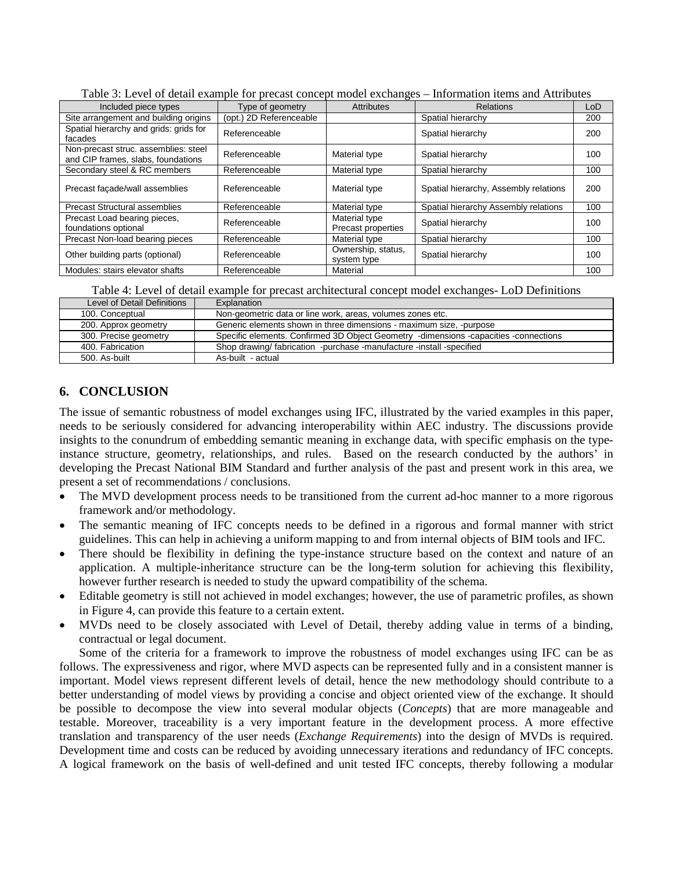| Tuene of Level of Gettin enumple for precuse concept moder enchanges<br>mnormaaron hermo and radicoated |                         |                                     |                                       |     |  |
|---------------------------------------------------------------------------------------------------------|-------------------------|-------------------------------------|---------------------------------------|-----|--|
| Included piece types                                                                                    | Type of geometry        | <b>Attributes</b>                   | <b>Relations</b>                      | LoD |  |
| Site arrangement and building origins                                                                   | (opt.) 2D Referenceable |                                     | Spatial hierarchy                     | 200 |  |
| Spatial hierarchy and grids: grids for<br>facades                                                       | Referenceable           |                                     | Spatial hierarchy                     | 200 |  |
| Non-precast struc. assemblies: steel<br>and CIP frames, slabs, foundations                              | Referenceable           | Material type                       | Spatial hierarchy                     | 100 |  |
| Secondary steel & RC members                                                                            | Referenceable           | Material type                       | Spatial hierarchy                     | 100 |  |
| Precast facade/wall assemblies                                                                          | Referenceable           | Material type                       | Spatial hierarchy, Assembly relations | 200 |  |
| <b>Precast Structural assemblies</b>                                                                    | Referenceable           | Material type                       | Spatial hierarchy Assembly relations  | 100 |  |
| Precast Load bearing pieces,<br>foundations optional                                                    | Referenceable           | Material type<br>Precast properties | Spatial hierarchy                     | 100 |  |
| Precast Non-load bearing pieces                                                                         | Referenceable           | Material type                       | Spatial hierarchy                     | 100 |  |
| Other building parts (optional)                                                                         | Referenceable           | Ownership, status,<br>system type   | Spatial hierarchy                     | 100 |  |
| Modules: stairs elevator shafts                                                                         | Referenceable           | Material                            |                                       | 100 |  |

Table 3: Level of detail example for precast concept model exchanges – Information items and Attributes

Table 4: Level of detail example for precast architectural concept model exchanges- LoD Definitions

| Level of Detail Definitions | Explanation                                                                          |
|-----------------------------|--------------------------------------------------------------------------------------|
| 100. Conceptual             | Non-geometric data or line work, areas, volumes zones etc.                           |
| 200. Approx geometry        | Generic elements shown in three dimensions - maximum size, -purpose                  |
| 300. Precise geometry       | Specific elements. Confirmed 3D Object Geometry -dimensions -capacities -connections |
| 400. Fabrication            | Shop drawing/ fabrication -purchase -manufacture -install -specified                 |
| 500. As-built               | As-built - actual                                                                    |

# **6. CONCLUSION**

The issue of semantic robustness of model exchanges using IFC, illustrated by the varied examples in this paper, needs to be seriously considered for advancing interoperability within AEC industry. The discussions provide insights to the conundrum of embedding semantic meaning in exchange data, with specific emphasis on the typeinstance structure, geometry, relationships, and rules. Based on the research conducted by the authors' in developing the Precast National BIM Standard and further analysis of the past and present work in this area, we present a set of recommendations / conclusions.

- The MVD development process needs to be transitioned from the current ad-hoc manner to a more rigorous framework and/or methodology.
- The semantic meaning of IFC concepts needs to be defined in a rigorous and formal manner with strict guidelines. This can help in achieving a uniform mapping to and from internal objects of BIM tools and IFC.
- There should be flexibility in defining the type-instance structure based on the context and nature of an application. A multiple-inheritance structure can be the long-term solution for achieving this flexibility, however further research is needed to study the upward compatibility of the schema.
- Editable geometry is still not achieved in model exchanges; however, the use of parametric profiles, as shown in Figure 4, can provide this feature to a certain extent.
- MVDs need to be closely associated with Level of Detail, thereby adding value in terms of a binding, contractual or legal document.

Some of the criteria for a framework to improve the robustness of model exchanges using IFC can be as follows. The expressiveness and rigor, where MVD aspects can be represented fully and in a consistent manner is important. Model views represent different levels of detail, hence the new methodology should contribute to a better understanding of model views by providing a concise and object oriented view of the exchange. It should be possible to decompose the view into several modular objects (*Concepts*) that are more manageable and testable. Moreover, traceability is a very important feature in the development process. A more effective translation and transparency of the user needs (*Exchange Requirements*) into the design of MVDs is required. Development time and costs can be reduced by avoiding unnecessary iterations and redundancy of IFC concepts. A logical framework on the basis of well-defined and unit tested IFC concepts, thereby following a modular